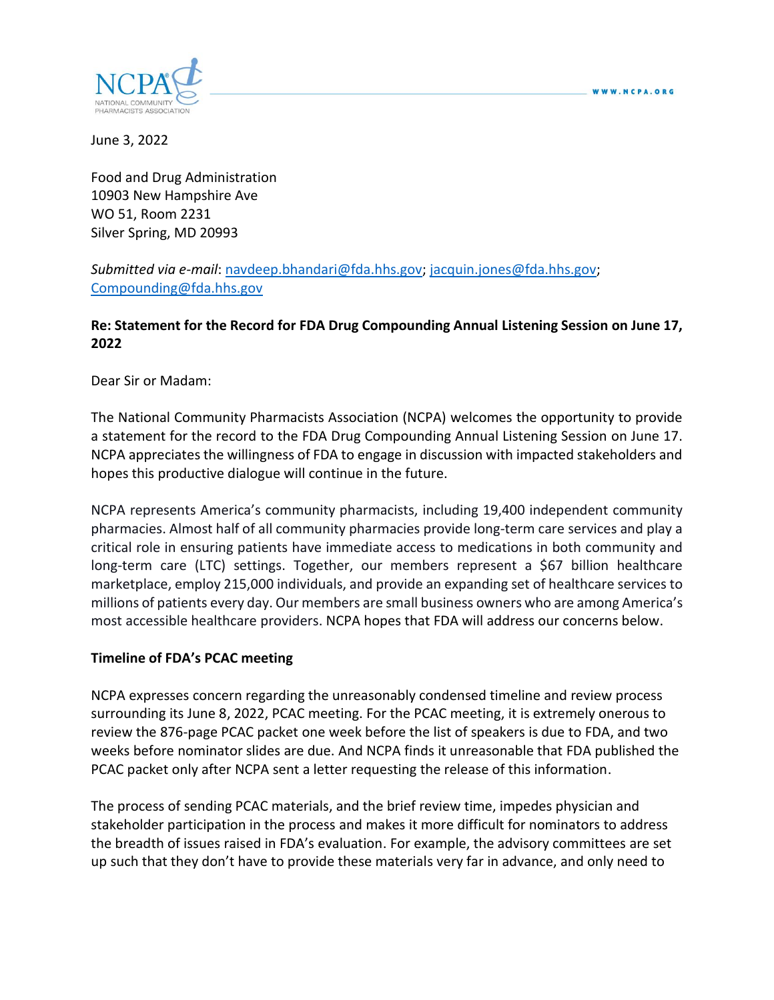

June 3, 2022

Food and Drug Administration 10903 New Hampshire Ave WO 51, Room 2231 Silver Spring, MD 20993

*Submitted via e-mail*: [navdeep.bhandari@fda.hhs.gov;](mailto:navdeep.bhandari@fda.hhs.gov) [jacquin.jones@fda.hhs.gov;](mailto:jacquin.jones@fda.hhs.gov) [Compounding@fda.hhs.gov](mailto:Compounding@fda.hhs.gov)

## **Re: Statement for the Record for FDA Drug Compounding Annual Listening Session on June 17, 2022**

Dear Sir or Madam:

The National Community Pharmacists Association (NCPA) welcomes the opportunity to provide a statement for the record to the FDA Drug Compounding Annual Listening Session on June 17. NCPA appreciates the willingness of FDA to engage in discussion with impacted stakeholders and hopes this productive dialogue will continue in the future.

NCPA represents America's community pharmacists, including 19,400 independent community pharmacies. Almost half of all community pharmacies provide long-term care services and play a critical role in ensuring patients have immediate access to medications in both community and long-term care (LTC) settings. Together, our members represent a \$67 billion healthcare marketplace, employ 215,000 individuals, and provide an expanding set of healthcare services to millions of patients every day. Our members are small business owners who are among America's most accessible healthcare providers. NCPA hopes that FDA will address our concerns below.

#### **Timeline of FDA's PCAC meeting**

NCPA expresses concern regarding the unreasonably condensed timeline and review process surrounding its June 8, 2022, PCAC meeting. For the PCAC meeting, it is extremely onerous to review the 876-page PCAC packet one week before the list of speakers is due to FDA, and two weeks before nominator slides are due. And NCPA finds it unreasonable that FDA published the PCAC packet only after NCPA sent a letter requesting the release of this information.

The process of sending PCAC materials, and the brief review time, impedes physician and stakeholder participation in the process and makes it more difficult for nominators to address the breadth of issues raised in FDA's evaluation. For example, the advisory committees are set up such that they don't have to provide these materials very far in advance, and only need to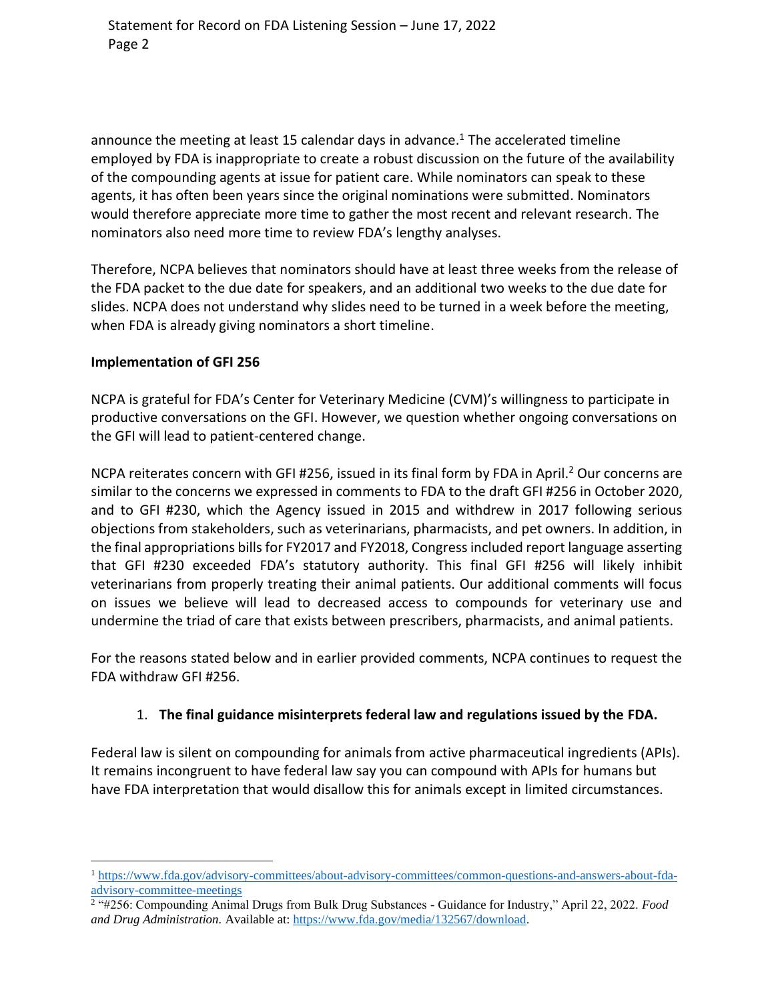announce the meeting at least 15 calendar days in advance.<sup>1</sup> The accelerated timeline employed by FDA is inappropriate to create a robust discussion on the future of the availability of the compounding agents at issue for patient care. While nominators can speak to these agents, it has often been years since the original nominations were submitted. Nominators would therefore appreciate more time to gather the most recent and relevant research. The nominators also need more time to review FDA's lengthy analyses.

Therefore, NCPA believes that nominators should have at least three weeks from the release of the FDA packet to the due date for speakers, and an additional two weeks to the due date for slides. NCPA does not understand why slides need to be turned in a week before the meeting, when FDA is already giving nominators a short timeline.

#### **Implementation of GFI 256**

NCPA is grateful for FDA's Center for Veterinary Medicine (CVM)'s willingness to participate in productive conversations on the GFI. However, we question whether ongoing conversations on the GFI will lead to patient-centered change.

NCPA reiterates concern with GFI #256, issued in its final form by FDA in April.<sup>2</sup> Our concerns are similar to the concerns we expressed in comments to FDA to the draft GFI #256 in October 2020, and to GFI #230, which the Agency issued in 2015 and withdrew in 2017 following serious objections from stakeholders, such as veterinarians, pharmacists, and pet owners. In addition, in the final appropriations bills for FY2017 and FY2018, Congress included report language asserting that GFI #230 exceeded FDA's statutory authority. This final GFI #256 will likely inhibit veterinarians from properly treating their animal patients. Our additional comments will focus on issues we believe will lead to decreased access to compounds for veterinary use and undermine the triad of care that exists between prescribers, pharmacists, and animal patients.

For the reasons stated below and in earlier provided comments, NCPA continues to request the FDA withdraw GFI #256.

#### 1. **The final guidance misinterprets federal law and regulations issued by the FDA.**

Federal law is silent on compounding for animals from active pharmaceutical ingredients (APIs). It remains incongruent to have federal law say you can compound with APIs for humans but have FDA interpretation that would disallow this for animals except in limited circumstances.

<sup>1</sup> [https://www.fda.gov/advisory-committees/about-advisory-committees/common-questions-and-answers-about-fda](https://www.fda.gov/advisory-committees/about-advisory-committees/common-questions-and-answers-about-fda-advisory-committee-meetings)[advisory-committee-meetings](https://www.fda.gov/advisory-committees/about-advisory-committees/common-questions-and-answers-about-fda-advisory-committee-meetings)

<sup>2</sup> "#256: Compounding Animal Drugs from Bulk Drug Substances - Guidance for Industry," April 22, 2022. *Food and Drug Administration.* Available at: [https://www.fda.gov/media/132567/download.](https://www.fda.gov/media/132567/download)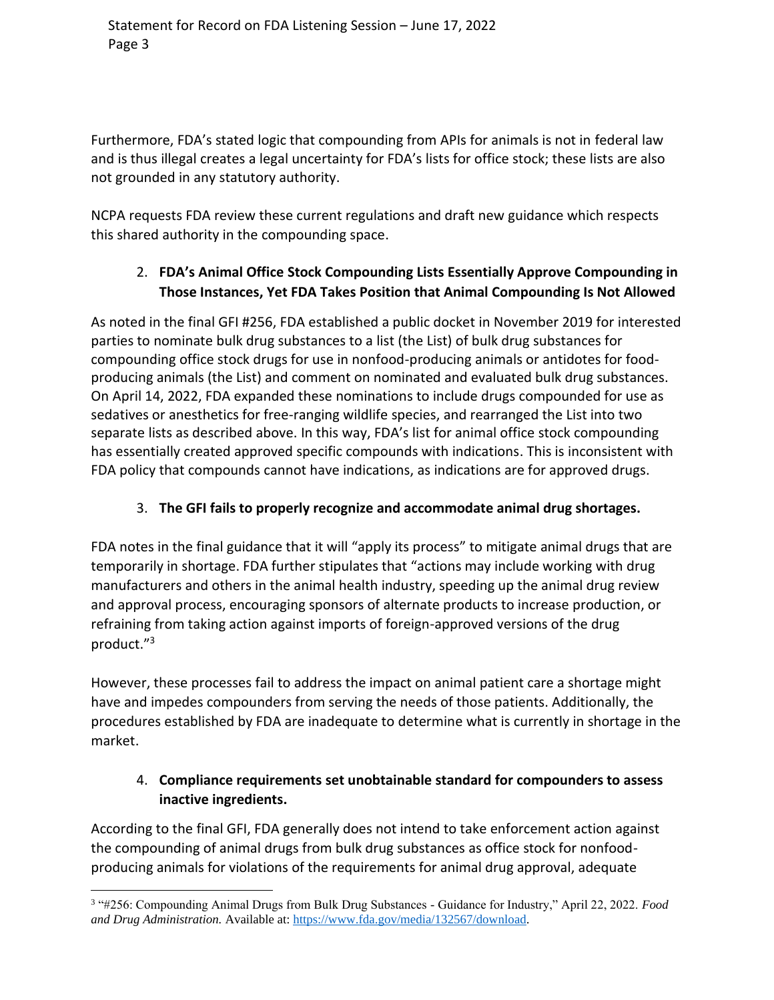Furthermore, FDA's stated logic that compounding from APIs for animals is not in federal law and is thus illegal creates a legal uncertainty for FDA's lists for office stock; these lists are also not grounded in any statutory authority.

NCPA requests FDA review these current regulations and draft new guidance which respects this shared authority in the compounding space.

# 2. **FDA's Animal Office Stock Compounding Lists Essentially Approve Compounding in Those Instances, Yet FDA Takes Position that Animal Compounding Is Not Allowed**

As noted in the final GFI #256, FDA established a public docket in November 2019 for interested parties to nominate bulk drug substances to a list (the List) of bulk drug substances for compounding office stock drugs for use in nonfood-producing animals or antidotes for foodproducing animals (the List) and comment on nominated and evaluated bulk drug substances. On April 14, 2022, FDA expanded these nominations to include drugs compounded for use as sedatives or anesthetics for free-ranging wildlife species, and rearranged the List into two separate lists as described above. In this way, FDA's list for animal office stock compounding has essentially created approved specific compounds with indications. This is inconsistent with FDA policy that compounds cannot have indications, as indications are for approved drugs.

# 3. **The GFI fails to properly recognize and accommodate animal drug shortages.**

FDA notes in the final guidance that it will "apply its process" to mitigate animal drugs that are temporarily in shortage. FDA further stipulates that "actions may include working with drug manufacturers and others in the animal health industry, speeding up the animal drug review and approval process, encouraging sponsors of alternate products to increase production, or refraining from taking action against imports of foreign-approved versions of the drug product." 3

However, these processes fail to address the impact on animal patient care a shortage might have and impedes compounders from serving the needs of those patients. Additionally, the procedures established by FDA are inadequate to determine what is currently in shortage in the market.

## 4. **Compliance requirements set unobtainable standard for compounders to assess inactive ingredients.**

According to the final GFI, FDA generally does not intend to take enforcement action against the compounding of animal drugs from bulk drug substances as office stock for nonfoodproducing animals for violations of the requirements for animal drug approval, adequate

<sup>3</sup> "#256: Compounding Animal Drugs from Bulk Drug Substances - Guidance for Industry," April 22, 2022. *Food and Drug Administration.* Available at: [https://www.fda.gov/media/132567/download.](https://www.fda.gov/media/132567/download)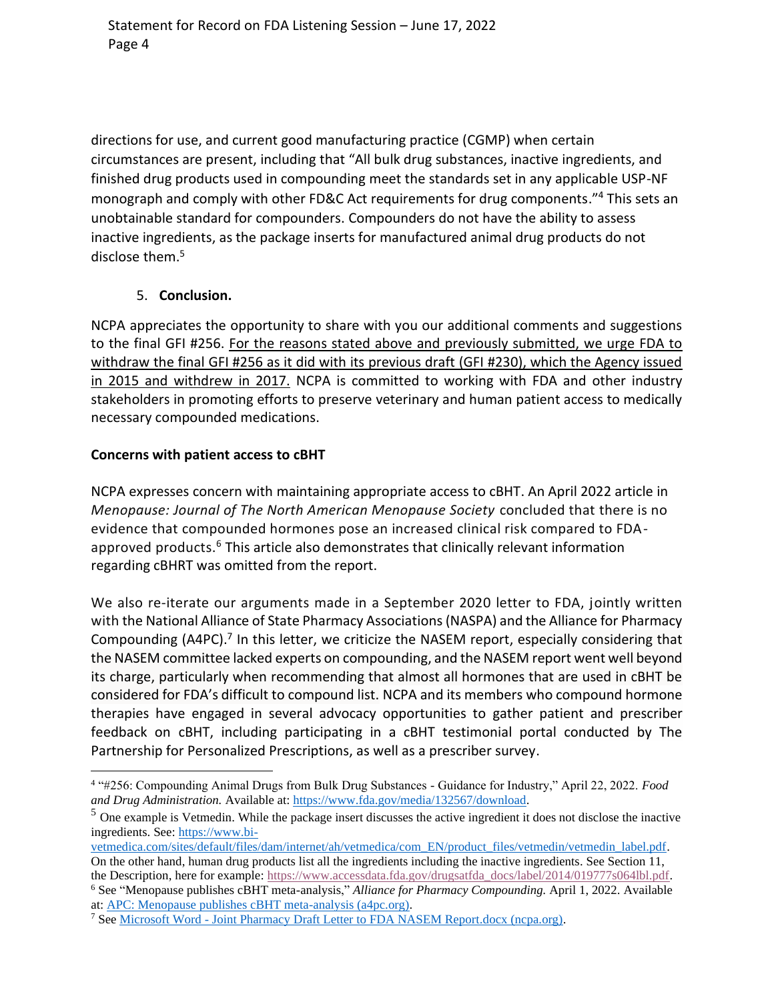directions for use, and current good manufacturing practice (CGMP) when certain circumstances are present, including that "All bulk drug substances, inactive ingredients, and finished drug products used in compounding meet the standards set in any applicable USP-NF monograph and comply with other FD&C Act requirements for drug components."<sup>4</sup> This sets an unobtainable standard for compounders. Compounders do not have the ability to assess inactive ingredients, as the package inserts for manufactured animal drug products do not disclose them. 5

## 5. **Conclusion.**

NCPA appreciates the opportunity to share with you our additional comments and suggestions to the final GFI #256. For the reasons stated above and previously submitted, we urge FDA to withdraw the final GFI #256 as it did with its previous draft (GFI #230), which the Agency issued in 2015 and withdrew in 2017. NCPA is committed to working with FDA and other industry stakeholders in promoting efforts to preserve veterinary and human patient access to medically necessary compounded medications.

## **Concerns with patient access to cBHT**

NCPA expresses concern with maintaining appropriate access to cBHT. An April 2022 article in *Menopause: Journal of The North American Menopause Society* concluded that there is no evidence that compounded hormones pose an increased clinical risk compared to FDAapproved products.<sup>6</sup> This article also demonstrates that clinically relevant information regarding cBHRT was omitted from the report.

We also re-iterate our arguments made in a September 2020 letter to FDA, jointly written with the National Alliance of State Pharmacy Associations (NASPA) and the Alliance for Pharmacy Compounding (A4PC).<sup>7</sup> In this letter, we criticize the NASEM report, especially considering that the NASEM committee lacked experts on compounding, and the NASEM report went well beyond its charge, particularly when recommending that almost all hormones that are used in cBHT be considered for FDA's difficult to compound list. NCPA and its members who compound hormone therapies have engaged in several advocacy opportunities to gather patient and prescriber feedback on cBHT, including participating in a cBHT testimonial portal conducted by The Partnership for Personalized Prescriptions, as well as a prescriber survey.

at: [APC: Menopause publishes cBHT meta-analysis \(a4pc.org\).](https://a4pc.org/2022-04/menopause-publishes-cbht-meta-analysis/)

<sup>4</sup> "#256: Compounding Animal Drugs from Bulk Drug Substances - Guidance for Industry," April 22, 2022. *Food and Drug Administration.* Available at: [https://www.fda.gov/media/132567/download.](https://www.fda.gov/media/132567/download)

<sup>5</sup> One example is Vetmedin. While the package insert discusses the active ingredient it does not disclose the inactive ingredients. See: [https://www.bi-](https://nam10.safelinks.protection.outlook.com/?url=https%3A%2F%2Fwww.bi-vetmedica.com%2Fsites%2Fdefault%2Ffiles%2Fdam%2Finternet%2Fah%2Fvetmedica%2Fcom_EN%2Fproduct_files%2Fvetmedin%2Fvetmedin_label.pdf&data=05%7C01%7Csteve.postal%40ncpa.org%7C7fe7391822ab491ea0a408da458c500d%7Cb77cba5b4b54454ab17c067a46f21ebb%7C0%7C0%7C637898766522126548%7CUnknown%7CTWFpbGZsb3d8eyJWIjoiMC4wLjAwMDAiLCJQIjoiV2luMzIiLCJBTiI6Ik1haWwiLCJXVCI6Mn0%3D%7C3000%7C%7C%7C&sdata=wm0bVnrEfT0C1CwUEjWu6TIlk5BUcEkS3l0p1k2DVgs%3D&reserved=0)

[vetmedica.com/sites/default/files/dam/internet/ah/vetmedica/com\\_EN/product\\_files/vetmedin/vetmedin\\_label.pdf.](https://nam10.safelinks.protection.outlook.com/?url=https%3A%2F%2Fwww.bi-vetmedica.com%2Fsites%2Fdefault%2Ffiles%2Fdam%2Finternet%2Fah%2Fvetmedica%2Fcom_EN%2Fproduct_files%2Fvetmedin%2Fvetmedin_label.pdf&data=05%7C01%7Csteve.postal%40ncpa.org%7C7fe7391822ab491ea0a408da458c500d%7Cb77cba5b4b54454ab17c067a46f21ebb%7C0%7C0%7C637898766522126548%7CUnknown%7CTWFpbGZsb3d8eyJWIjoiMC4wLjAwMDAiLCJQIjoiV2luMzIiLCJBTiI6Ik1haWwiLCJXVCI6Mn0%3D%7C3000%7C%7C%7C&sdata=wm0bVnrEfT0C1CwUEjWu6TIlk5BUcEkS3l0p1k2DVgs%3D&reserved=0) On the other hand, human drug products list all the ingredients including the inactive ingredients. See Section 11,

the Description, here for example: [https://www.accessdata.fda.gov/drugsatfda\\_docs/label/2014/019777s064lbl.pdf.](https://nam10.safelinks.protection.outlook.com/?url=https%3A%2F%2Fwww.accessdata.fda.gov%2Fdrugsatfda_docs%2Flabel%2F2014%2F019777s064lbl.pdf&data=05%7C01%7Csteve.postal%40ncpa.org%7C7fe7391822ab491ea0a408da458c500d%7Cb77cba5b4b54454ab17c067a46f21ebb%7C0%7C0%7C637898766522126548%7CUnknown%7CTWFpbGZsb3d8eyJWIjoiMC4wLjAwMDAiLCJQIjoiV2luMzIiLCJBTiI6Ik1haWwiLCJXVCI6Mn0%3D%7C3000%7C%7C%7C&sdata=zYG9WeSgft3HWhUViqBpNJ2OzBsU2gxMttXiCAZIXRI%3D&reserved=0) <sup>6</sup> See "Menopause publishes cBHT meta-analysis," *Alliance for Pharmacy Compounding.* April 1, 2022. Available

<sup>7</sup> See Microsoft Word - [Joint Pharmacy Draft Letter to FDA NASEM Report.docx \(ncpa.org\).](https://ncpa.org/sites/default/files/2020-09/Joint-Pharmacy-Letter-to-FDA-NASEM-Report.pdf)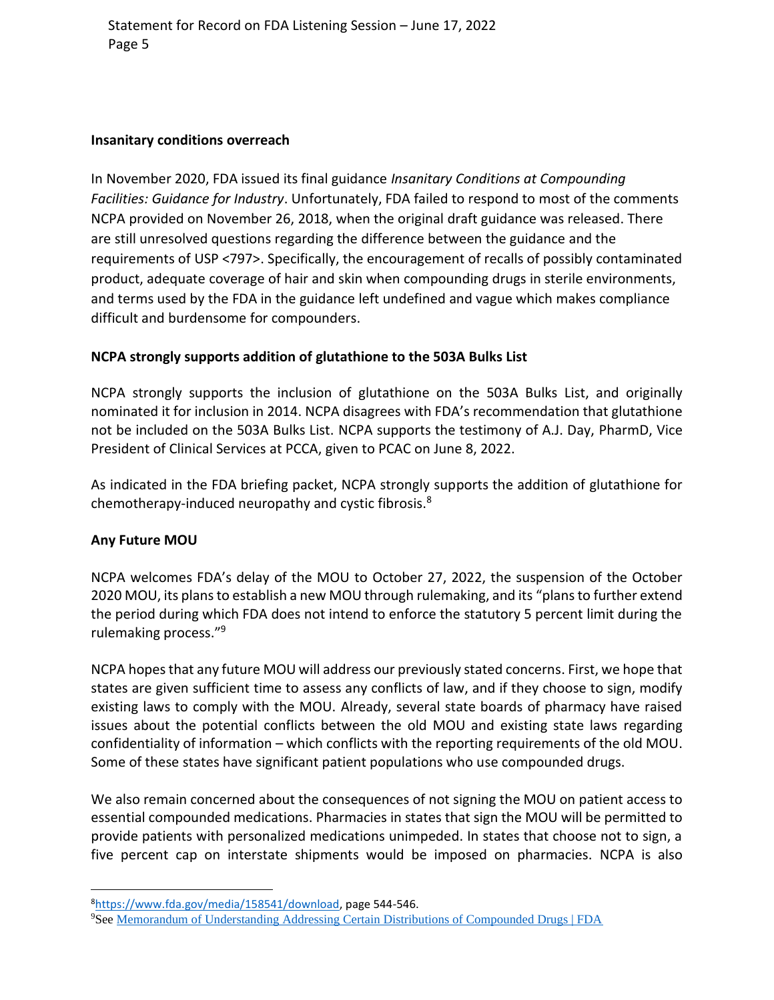#### **Insanitary conditions overreach**

In November 2020, FDA issued its final guidance *Insanitary Conditions at Compounding Facilities: Guidance for Industry*. Unfortunately, FDA failed to respond to most of the comments NCPA provided on November 26, 2018, when the original draft guidance was released. There are still unresolved questions regarding the difference between the guidance and the requirements of USP <797>. Specifically, the encouragement of recalls of possibly contaminated product, adequate coverage of hair and skin when compounding drugs in sterile environments, and terms used by the FDA in the guidance left undefined and vague which makes compliance difficult and burdensome for compounders.

#### **NCPA strongly supports addition of glutathione to the 503A Bulks List**

NCPA strongly supports the inclusion of glutathione on the 503A Bulks List, and originally nominated it for inclusion in 2014. NCPA disagrees with FDA's recommendation that glutathione not be included on the 503A Bulks List. NCPA supports the testimony of A.J. Day, PharmD, Vice President of Clinical Services at PCCA, given to PCAC on June 8, 2022.

As indicated in the FDA briefing packet, NCPA strongly supports the addition of glutathione for chemotherapy-induced neuropathy and cystic fibrosis.<sup>8</sup>

## **Any Future MOU**

NCPA welcomes FDA's delay of the MOU to October 27, 2022, the suspension of the October 2020 MOU, its plans to establish a new MOU through rulemaking, and its "plans to further extend the period during which FDA does not intend to enforce the statutory 5 percent limit during the rulemaking process."<sup>9</sup>

NCPA hopes that any future MOU will address our previously stated concerns. First, we hope that states are given sufficient time to assess any conflicts of law, and if they choose to sign, modify existing laws to comply with the MOU. Already, several state boards of pharmacy have raised issues about the potential conflicts between the old MOU and existing state laws regarding confidentiality of information – which conflicts with the reporting requirements of the old MOU. Some of these states have significant patient populations who use compounded drugs.

We also remain concerned about the consequences of not signing the MOU on patient access to essential compounded medications. Pharmacies in states that sign the MOU will be permitted to provide patients with personalized medications unimpeded. In states that choose not to sign, a five percent cap on interstate shipments would be imposed on pharmacies. NCPA is also

<sup>8</sup>[https://www.fda.gov/media/158541/download,](https://www.fda.gov/media/158541/download) page 544-546.

<sup>9</sup>See [Memorandum of Understanding Addressing Certain Distributions of Compounded Drugs | FDA](https://www.fda.gov/drugs/human-drug-compounding/memorandum-understanding-addressing-certain-distributions-compounded-drugs#:~:text=Memorandum%20of%20Understanding%20Addressing%20Certain%20Distributions%20of%20Compounded,memorandum%20of%20understanding%20%28MOU%29%20between%20FDA%20and%20states.)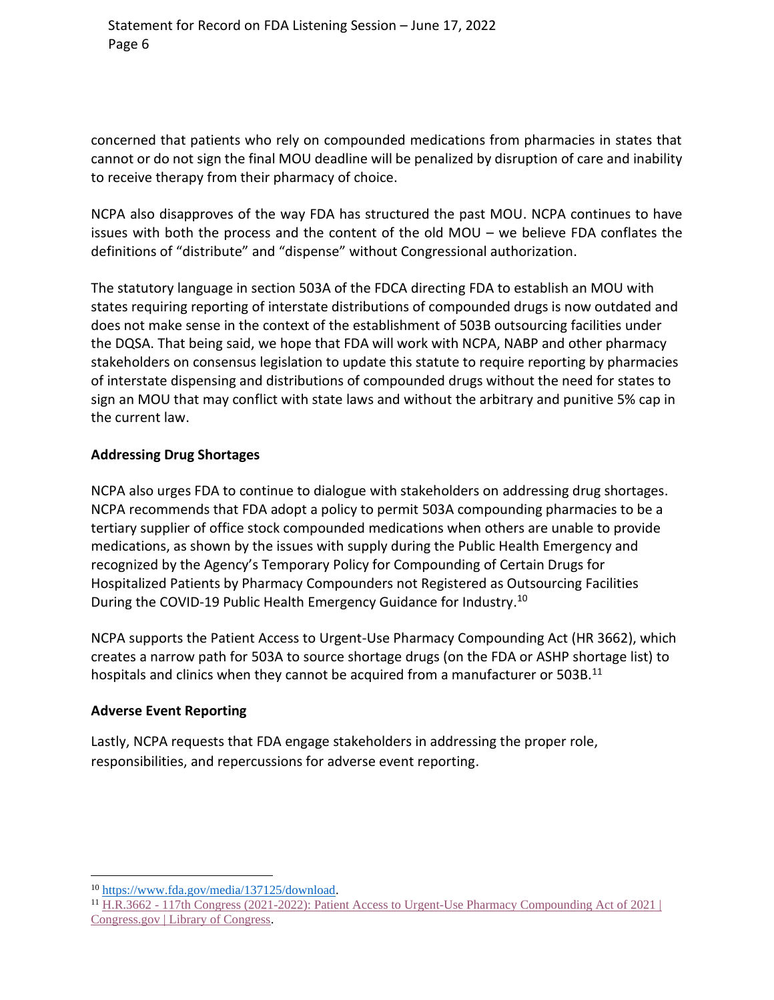concerned that patients who rely on compounded medications from pharmacies in states that cannot or do not sign the final MOU deadline will be penalized by disruption of care and inability to receive therapy from their pharmacy of choice.

NCPA also disapproves of the way FDA has structured the past MOU. NCPA continues to have issues with both the process and the content of the old MOU – we believe FDA conflates the definitions of "distribute" and "dispense" without Congressional authorization.

The statutory language in section 503A of the FDCA directing FDA to establish an MOU with states requiring reporting of interstate distributions of compounded drugs is now outdated and does not make sense in the context of the establishment of 503B outsourcing facilities under the DQSA. That being said, we hope that FDA will work with NCPA, NABP and other pharmacy stakeholders on consensus legislation to update this statute to require reporting by pharmacies of interstate dispensing and distributions of compounded drugs without the need for states to sign an MOU that may conflict with state laws and without the arbitrary and punitive 5% cap in the current law.

## **Addressing Drug Shortages**

NCPA also urges FDA to continue to dialogue with stakeholders on addressing drug shortages. NCPA recommends that FDA adopt a policy to permit 503A compounding pharmacies to be a tertiary supplier of office stock compounded medications when others are unable to provide medications, as shown by the issues with supply during the Public Health Emergency and recognized by the Agency's Temporary Policy for Compounding of Certain Drugs for Hospitalized Patients by Pharmacy Compounders not Registered as Outsourcing Facilities During the COVID-19 Public Health Emergency Guidance for Industry.<sup>10</sup>

NCPA supports the Patient Access to Urgent-Use Pharmacy Compounding Act (HR 3662), which creates a narrow path for 503A to source shortage drugs (on the FDA or ASHP shortage list) to hospitals and clinics when they cannot be acquired from a manufacturer or 503B.<sup>11</sup>

## **Adverse Event Reporting**

Lastly, NCPA requests that FDA engage stakeholders in addressing the proper role, responsibilities, and repercussions for adverse event reporting.

<sup>10</sup> [https://www.fda.gov/media/137125/download.](https://www.fda.gov/media/137125/download)

<sup>11</sup> H.R.3662 - [117th Congress \(2021-2022\): Patient Access to Urgent-Use Pharmacy Compounding Act of 2021 |](https://www.congress.gov/bill/117th-congress/house-bill/3662?q=%7B%22search%22%3A%5B%22HR+3662%22%2C%22HR%22%2C%223662%22%5D%7D&r=1&s=1)  [Congress.gov | Library of Congress.](https://www.congress.gov/bill/117th-congress/house-bill/3662?q=%7B%22search%22%3A%5B%22HR+3662%22%2C%22HR%22%2C%223662%22%5D%7D&r=1&s=1)